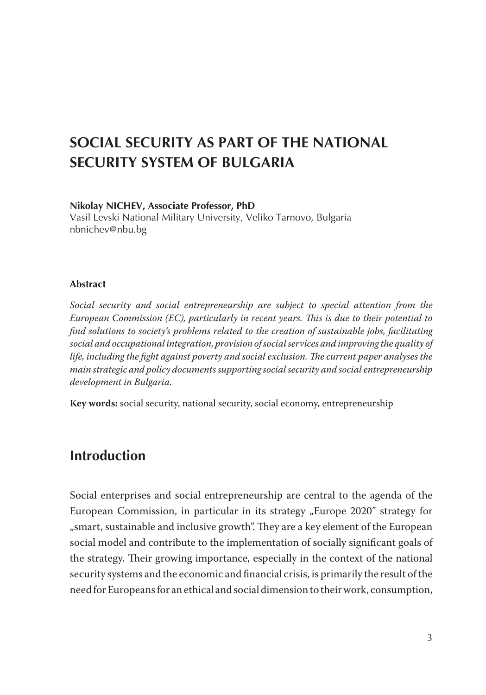# **SOCIAL SECURITY AS PART OF THE NATIONAL SECURITY SYSTEM OF BULGARIA**

#### **Nikolay NICHEV, Associate Professor, PhD**

Vasil Levski National Military University, Veliko Tarnovo, Bulgaria nbnichev@nbu.bg

#### **Abstract**

*Social security and social entrepreneurship are subject to special attention from the European Commission (EC), particularly in recent years. This is due to their potential to find solutions to society's problems related to the creation of sustainable jobs, facilitating social and occupational integration, provision of social services and improving the quality of life, including the fight against poverty and social exclusion. The current paper analyses the main strategic and policy documents supporting social security and social entrepreneurship development in Bulgaria.*

**Key words:** social security, national security, social economy, entrepreneurship

### **Introduction**

Social enterprises and social entrepreneurship are central to the agenda of the European Commission, in particular in its strategy "Europe 2020" strategy for "smart, sustainable and inclusive growth". They are a key element of the European social model and contribute to the implementation of socially significant goals of the strategy. Their growing importance, especially in the context of the national security systems and the economic and financial crisis, is primarily the result of the need for Europeans for an ethical and social dimension to their work, consumption,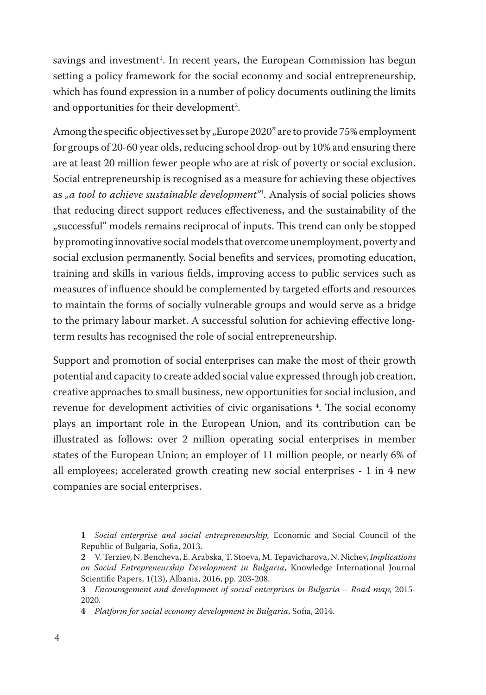savings and investment . In recent years, the European Commission has begun setting a policy framework for the social economy and social entrepreneurship, which has found expression in a number of policy documents outlining the limits and opportunities for their development<sup>2</sup>.

Among the specific objectives set by "Europe 2020" are to provide 75% employment for groups of 20-60 year olds, reducing school drop-out by 10% and ensuring there are at least 20 million fewer people who are at risk of poverty or social exclusion. Social entrepreneurship is recognised as a measure for achieving these objectives as *"a tool to achieve sustainable development"* . Analysis of social policies shows that reducing direct support reduces effectiveness, and the sustainability of the "successful" models remains reciprocal of inputs. This trend can only be stopped by promoting innovative social models that overcome unemployment, poverty and social exclusion permanently. Social benefits and services, promoting education, training and skills in various fields, improving access to public services such as measures of influence should be complemented by targeted efforts and resources to maintain the forms of socially vulnerable groups and would serve as a bridge to the primary labour market. A successful solution for achieving effective longterm results has recognised the role of social entrepreneurship.

Support and promotion of social enterprises can make the most of their growth potential and capacity to create added social value expressed through job creation, creative approaches to small business, new opportunities for social inclusion, and revenue for development activities of civic organisations . The social economy plays an important role in the European Union, and its contribution can be illustrated as follows: over 2 million operating social enterprises in member states of the European Union; an employer of 11 million people, or nearly 6% of all employees; accelerated growth creating new social enterprises - 1 in 4 new companies are social enterprises.

*Social enterprise and social entrepreneurship,* Economic and Social Council of the Republic of Bulgaria, Sofia, 2013.

V. Terziev, N. Bencheva, E. Arabska, T. Stoeva, M. Tepavicharova, N. Nichev, *Implications on Social Entrepreneurship Development in Bulgaria*, Knowledge International Journal Scientific Papers, 1(13), Albania, 2016, pp. 203-208.

*Encouragement and development of social enterprises in Bulgaria – Road map,* 2015- 2020.

*Platform for social economy development in Bulgaria*, Sofia, 2014.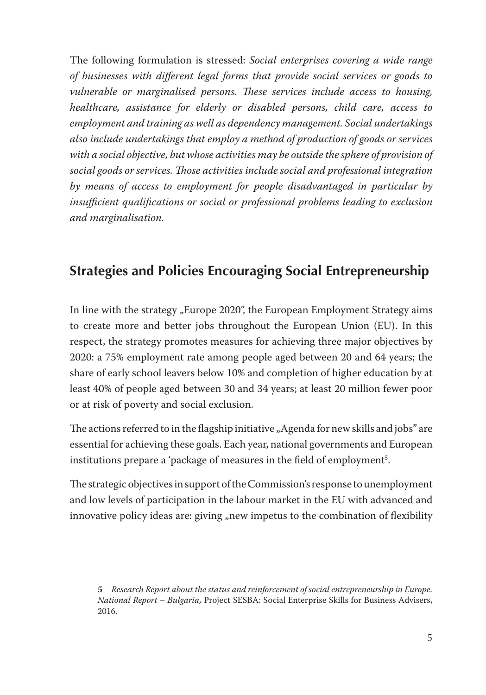Тhe following formulation is stressed: *Social enterprises covering a wide range of businesses with different legal forms that provide social services or goods to vulnerable or marginalised persons. These services include access to housing, healthcare, assistance for elderly or disabled persons, child care, access to employment and training as well as dependency management. Social undertakings also include undertakings that employ a method of production of goods or services with a social objective, but whose activities may be outside the sphere of provision of social goods or services. Those activities include social and professional integration by means of access to employment for people disadvantaged in particular by insufficient qualifications or social or professional problems leading to exclusion and marginalisation.*

## **Strategies and Policies Encouraging Social Entrepreneurship**

In line with the strategy "Europe 2020", the European Employment Strategy aims to create more and better jobs throughout the European Union (EU). In this respect, the strategy promotes measures for achieving three major objectives by 2020: a 75% employment rate among people aged between 20 and 64 years; the share of early school leavers below 10% and completion of higher education by at least 40% of people aged between 30 and 34 years; at least 20 million fewer poor or at risk of poverty and social exclusion.

The actions referred to in the flagship initiative "Agenda for new skills and jobs" are essential for achieving these goals. Each year, national governments and European institutions prepare a 'package of measures in the field of employment<sup>5</sup>.

The strategic objectives in support of the Commission's response to unemployment and low levels of participation in the labour market in the EU with advanced and innovative policy ideas are: giving "new impetus to the combination of flexibility

*Research Report about the status and reinforcement of social entrepreneurship in Europe. National Report – Bulgaria,* Project SESBA: Social Enterprise Skills for Business Advisers, 2016.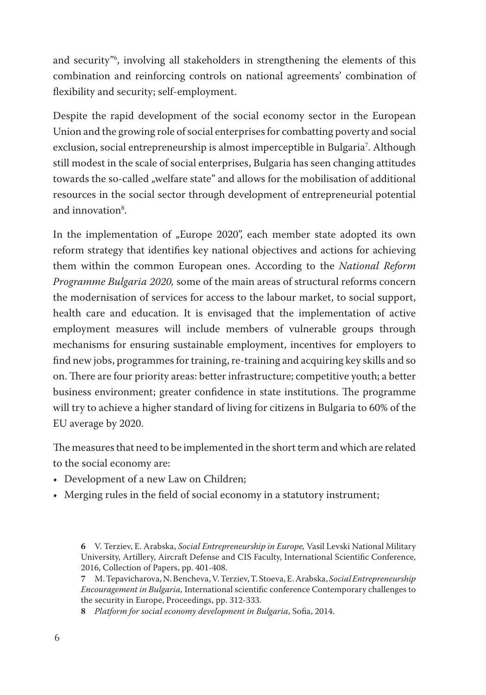and security<sup> $n$ </sup>, involving all stakeholders in strengthening the elements of this combination and reinforcing controls on national agreements' combination of flexibility and security; self-employment.

Despite the rapid development of the social economy sector in the European Union and the growing role of social enterprises for combatting poverty and social exclusion, social entrepreneurship is almost imperceptible in Bulgaria<sup>7</sup>. Although still modest in the scale of social enterprises, Bulgaria has seen changing attitudes towards the so-called "welfare state" and allows for the mobilisation of additional resources in the social sector through development of entrepreneurial potential and innovation<sup>8</sup>.

In the implementation of "Europe 2020", each member state adopted its own reform strategy that identifies key national objectives and actions for achieving them within the common European ones. According to the *National Reform Programme Bulgaria 2020,* some of the main areas of structural reforms concern the modernisation of services for access to the labour market, to social support, health care and education. It is envisaged that the implementation of active employment measures will include members of vulnerable groups through mechanisms for ensuring sustainable employment, incentives for employers to find new jobs, programmes for training, re-training and acquiring key skills and so on. There are four priority areas: better infrastructure; competitive youth; a better business environment; greater confidence in state institutions. The programme will try to achieve a higher standard of living for citizens in Bulgaria to 60% of the EU average by 2020.

The measures that need to be implemented in the short term and which are related to the social economy are:

- Development of a new Law on Children;
- Merging rules in the field of social economy in a statutory instrument;

*Platform for social economy development in Bulgaria*, Sofia, 2014.

V. Terziev, E. Arabska, *Social Entrepreneurship in Еurope,* Vasil Levski National Military University, Artillery, Aircraft Defense and CIS Faculty, International Scientific Conference, 2016, Collection of Papers, pp. 401-408.

M. Tepavicharova, N. Bencheva, V. Terziev, T. Stoeva, E. Arabska, *Social Entrepreneurship Encouragement in Bulgaria,* International scientific conference Contemporary challenges to the security in Europe, Proceedings, pp. 312-333.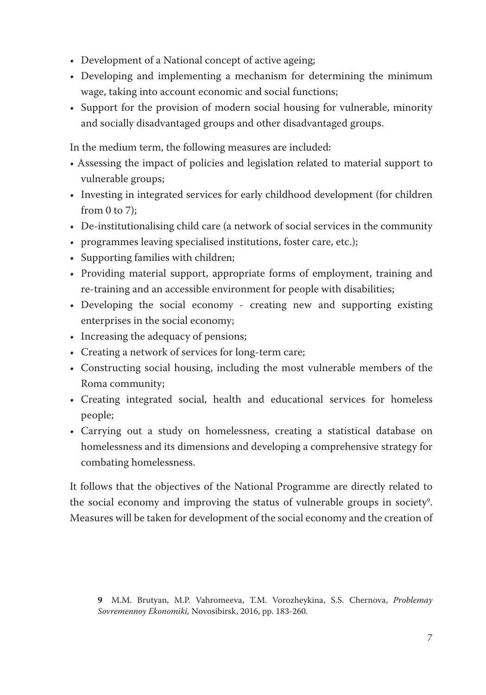- Development of a National concept of active ageing;
- Developing and implementing a mechanism for determining the minimum wage, taking into account economic and social functions;
- Support for the provision of modern social housing for vulnerable, minority and socially disadvantaged groups and other disadvantaged groups.

In the medium term, the following measures are included:

- Assessing the impact of policies and legislation related to material support to vulnerable groups;
- Investing in integrated services for early childhood development (for children from  $0$  to  $7$ :
- De-institutionalising child care (a network of social services in the community
- programmes leaving specialised institutions, foster care, etc.);
- Supporting families with children;
- Providing material support, appropriate forms of employment, training and re-training and an accessible environment for people with disabilities;
- Developing the social economy creating new and supporting existing enterprises in the social economy;
- Increasing the adequacy of pensions;
- Creating a network of services for long-term care;
- Constructing social housing, including the most vulnerable members of the Roma community;
- Creating integrated social, health and educational services for homeless people;
- Carrying out a study on homelessness, creating a statistical database on homelessness and its dimensions and developing a comprehensive strategy for combating homelessness.

It follows that the objectives of the National Programme are directly related to the social economy and improving the status of vulnerable groups in society . Measures will be taken for development of the social economy and the creation of

M.M. Brutyan, M.P. Vahromeeva, T.M. Vorozheykina, S.S. Chernova, *Problemay Sovremennoy Ekonomiki,* Novosibirsk, 2016, pp. 183-260.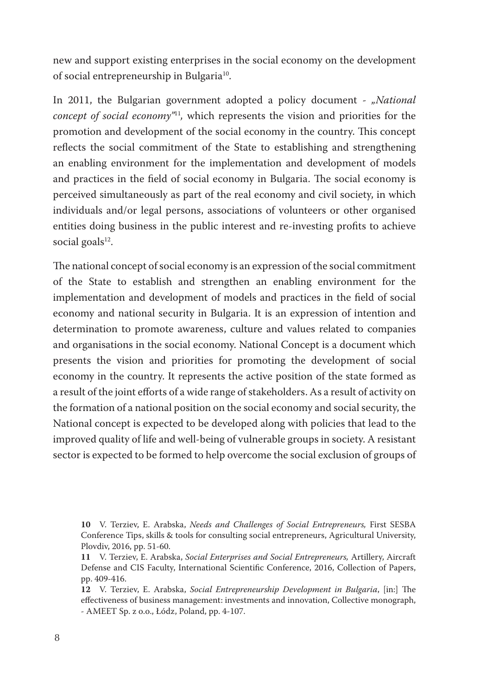new and support existing enterprises in the social economy on the development of social entrepreneurship in Bulgaria<sup>10</sup>.

In 2011, the Bulgarian government adopted a policy document - *"National concept of social economy*<sup>"11</sup>, which represents the vision and priorities for the promotion and development of the social economy in the country. This concept reflects the social commitment of the State to establishing and strengthening an enabling environment for the implementation and development of models and practices in the field of social economy in Bulgaria. The social economy is perceived simultaneously as part of the real economy and civil society, in which individuals and/or legal persons, associations of volunteers or other organised entities doing business in the public interest and re-investing profits to achieve social goals $^{12}$ .

The national concept of social economy is an expression of the social commitment of the State to establish and strengthen an enabling environment for the implementation and development of models and practices in the field of social economy and national security in Bulgaria. It is an expression of intention and determination to promote awareness, culture and values related to companies and organisations in the social economy. National Concept is a document which presents the vision and priorities for promoting the development of social economy in the country. It represents the active position of the state formed as a result of the joint efforts of a wide range of stakeholders. As a result of activity on the formation of a national position on the social economy and social security, the National concept is expected to be developed along with policies that lead to the improved quality of life and well-being of vulnerable groups in society. A resistant sector is expected to be formed to help overcome the social exclusion of groups of

**<sup>10</sup>** V. Terziev, E. Arabska, *Needs and Challenges of Social Entrepreneurs,* First SESBA Conference Tips, skills & tools for consulting social entrepreneurs, Agricultural University, Plovdiv, 2016, pp. 51-60.

**<sup>11</sup>** V. Terziev, E. Arabska, *Social Enterprises and Social Entrepreneurs,* Artillery, Aircraft Defense and CIS Faculty, International Scientific Conference, 2016, Collection of Papers, pp. 409-416.

**<sup>12</sup>** V. Terziev, E. Arabska, *Social Entrepreneurship Development in Bulgaria*, [in:] The effectiveness of business management: investments and innovation, Collective monograph, - AMEET Sp. z o.o., Łódz, Poland, pp. 4-107.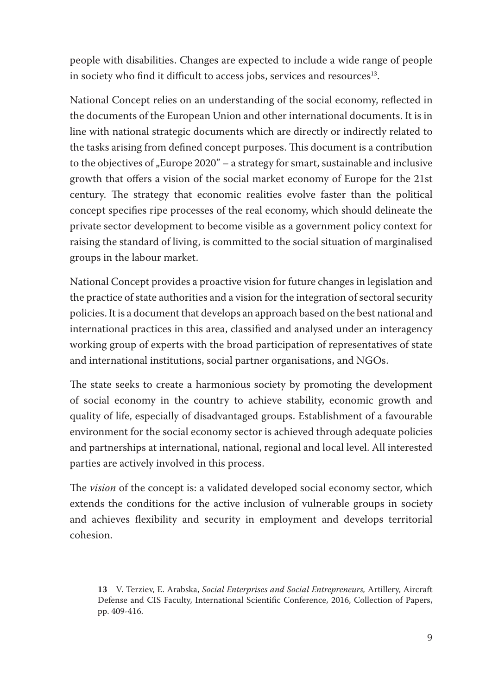people with disabilities. Changes are expected to include a wide range of people in society who find it difficult to access jobs, services and resources<sup>13</sup>.

National Concept relies on an understanding of the social economy, reflected in the documents of the European Union and other international documents. It is in line with national strategic documents which are directly or indirectly related to the tasks arising from defined concept purposes. This document is a contribution to the objectives of "Europe  $2020 - a$  strategy for smart, sustainable and inclusive growth that offers a vision of the social market economy of Europe for the 21st century. The strategy that economic realities evolve faster than the political concept specifies ripe processes of the real economy, which should delineate the private sector development to become visible as a government policy context for raising the standard of living, is committed to the social situation of marginalised groups in the labour market.

National Concept provides a proactive vision for future changes in legislation and the practice of state authorities and a vision for the integration of sectoral security policies. It is a document that develops an approach based on the best national and international practices in this area, classified and analysed under an interagency working group of experts with the broad participation of representatives of state and international institutions, social partner organisations, and NGOs.

The state seeks to create a harmonious society by promoting the development of social economy in the country to achieve stability, economic growth and quality of life, especially of disadvantaged groups. Establishment of a favourable environment for the social economy sector is achieved through adequate policies and partnerships at international, national, regional and local level. All interested parties are actively involved in this process.

The *vision* of the concept is: a validated developed social economy sector, which extends the conditions for the active inclusion of vulnerable groups in society and achieves flexibility and security in employment and develops territorial cohesion.

**<sup>13</sup>** V. Terziev, E. Arabska, *Social Enterprises and Social Entrepreneurs,* Artillery, Aircraft Defense and CIS Faculty, International Scientific Conference, 2016, Collection of Papers, pp. 409-416.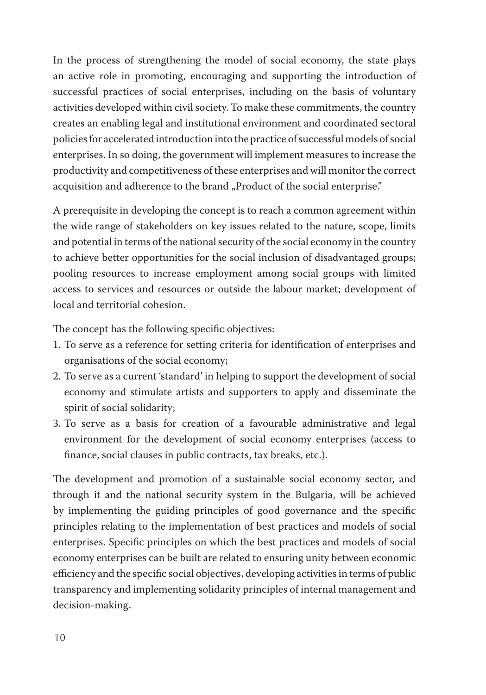In the process of strengthening the model of social economy, the state plays an active role in promoting, encouraging and supporting the introduction of successful practices of social enterprises, including on the basis of voluntary activities developed within civil society. To make these commitments, the country creates an enabling legal and institutional environment and coordinated sectoral policies for accelerated introduction into the practice of successful models of social enterprises. In so doing, the government will implement measures to increase the productivity and competitiveness of these enterprises and will monitor the correct acquisition and adherence to the brand "Product of the social enterprise."

A prerequisite in developing the concept is to reach a common agreement within the wide range of stakeholders on key issues related to the nature, scope, limits and potential in terms of the national security of the social economy in the country to achieve better opportunities for the social inclusion of disadvantaged groups; pooling resources to increase employment among social groups with limited access to services and resources or outside the labour market; development of local and territorial cohesion.

The concept has the following specific objectives:

- 1. To serve as a reference for setting criteria for identification of enterprises and organisations of the social economy;
- 2. To serve as a current 'standard' in helping to support the development of social economy and stimulate artists and supporters to apply and disseminate the spirit of social solidarity;
- 3. To serve as a basis for creation of a favourable administrative and legal environment for the development of social economy enterprises (access to finance, social clauses in public contracts, tax breaks, etc.).

The development and promotion of a sustainable social economy sector, and through it and the national security system in the Bulgaria, will be achieved by implementing the guiding principles of good governance and the specific principles relating to the implementation of best practices and models of social enterprises. Specific principles on which the best practices and models of social economy enterprises can be built are related to ensuring unity between economic efficiency and the specific social objectives, developing activities in terms of public transparency and implementing solidarity principles of internal management and decision-making.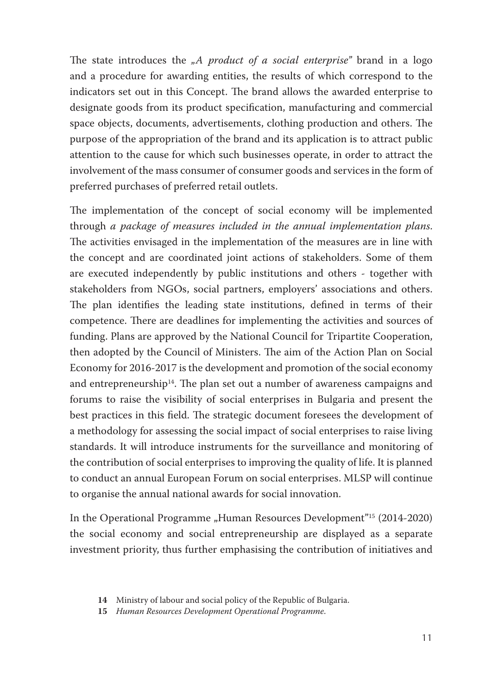The state introduces the *"A product of a social enterprise*" brand in a logo and a procedure for awarding entities, the results of which correspond to the indicators set out in this Concept. The brand allows the awarded enterprise to designate goods from its product specification, manufacturing and commercial space objects, documents, advertisements, clothing production and others. The purpose of the appropriation of the brand and its application is to attract public attention to the cause for which such businesses operate, in order to attract the involvement of the mass consumer of consumer goods and services in the form of preferred purchases of preferred retail outlets.

The implementation of the concept of social economy will be implemented through *a package of measures included in the annual implementation plans*. The activities envisaged in the implementation of the measures are in line with the concept and are coordinated joint actions of stakeholders. Some of them are executed independently by public institutions and others - together with stakeholders from NGOs, social partners, employers' associations and others. The plan identifies the leading state institutions, defined in terms of their competence. There are deadlines for implementing the activities and sources of funding. Plans are approved by the National Council for Tripartite Cooperation, then adopted by the Council of Ministers. The aim of the Action Plan on Social Economy for 2016-2017 is the development and promotion of the social economy and entrepreneurship<sup>14</sup>. The plan set out a number of awareness campaigns and forums to raise the visibility of social enterprises in Bulgaria and present the best practices in this field. The strategic document foresees the development of a methodology for assessing the social impact of social enterprises to raise living standards. It will introduce instruments for the surveillance and monitoring of the contribution of social enterprises to improving the quality of life. It is planned to conduct an annual European Forum on social enterprises. MLSP will continue to organise the annual national awards for social innovation.

In the Operational Programme "Human Resources Development"<sup>15</sup> (2014-2020) the social economy and social entrepreneurship are displayed as a separate investment priority, thus further emphasising the contribution of initiatives and

**<sup>14</sup>** Ministry of labour and social policy of the Republic of Bulgaria.

**<sup>15</sup>** *Human Resources Development Operational Programme*.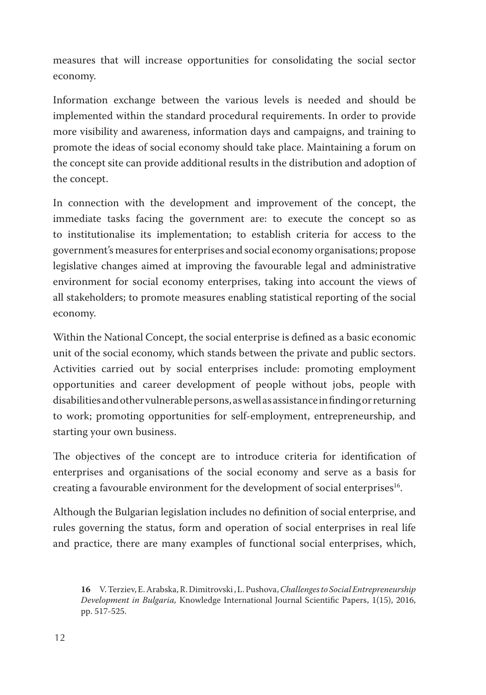measures that will increase opportunities for consolidating the social sector economy.

Information exchange between the various levels is needed and should be implemented within the standard procedural requirements. In order to provide more visibility and awareness, information days and campaigns, and training to promote the ideas of social economy should take place. Maintaining a forum on the concept site can provide additional results in the distribution and adoption of the concept.

In connection with the development and improvement of the concept, the immediate tasks facing the government are: to execute the concept so as to institutionalise its implementation; to establish criteria for access to the government's measures for enterprises and social economy organisations; propose legislative changes aimed at improving the favourable legal and administrative environment for social economy enterprises, taking into account the views of all stakeholders; to promote measures enabling statistical reporting of the social economy.

Within the National Concept, the social enterprise is defined as a basic economic unit of the social economy, which stands between the private and public sectors. Activities carried out by social enterprises include: promoting employment opportunities and career development of people without jobs, people with disabilities and other vulnerable persons, as well as assistance in finding or returning to work; promoting opportunities for self-employment, entrepreneurship, and starting your own business.

The objectives of the concept are to introduce criteria for identification of enterprises and organisations of the social economy and serve as a basis for creating a favourable environment for the development of social enterprises $^{16}$ .

Although the Bulgarian legislation includes no definition of social enterprise, and rules governing the status, form and operation of social enterprises in real life and practice, there are many examples of functional social enterprises, which,

**<sup>16</sup>** V. Terziev, E. Arabska, R. Dimitrovski , L. Pushova, *Challenges to Social Entrepreneurship Development in Bulgaria,* Knowledge International Journal Scientific Papers, 1(15), 2016, pp. 517-525.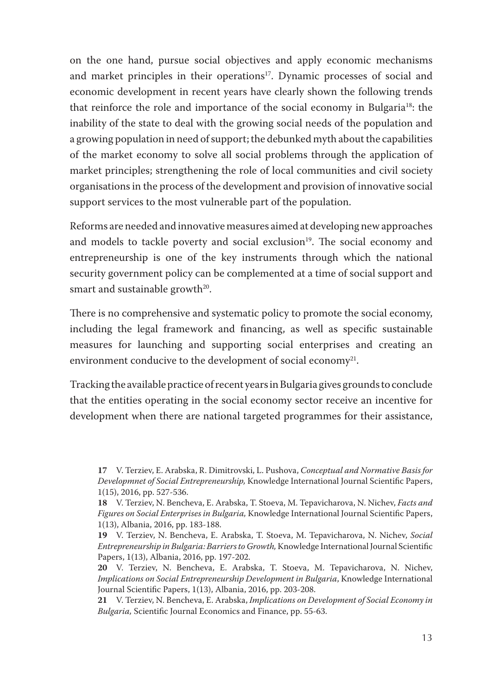on the one hand, pursue social objectives and apply economic mechanisms and market principles in their operations<sup>17</sup>. Dynamic processes of social and economic development in recent years have clearly shown the following trends that reinforce the role and importance of the social economy in Bulgaria<sup>18</sup>: the inability of the state to deal with the growing social needs of the population and a growing population in need of support; the debunked myth about the capabilities of the market economy to solve all social problems through the application of market principles; strengthening the role of local communities and civil society organisations in the process of the development and provision of innovative social support services to the most vulnerable part of the population.

Reforms are needed and innovative measures aimed at developing new approaches and models to tackle poverty and social exclusion<sup>19</sup>. The social economy and entrepreneurship is one of the key instruments through which the national security government policy can be complemented at a time of social support and smart and sustainable growth<sup>20</sup>.

There is no comprehensive and systematic policy to promote the social economy, including the legal framework and financing, as well as specific sustainable measures for launching and supporting social enterprises and creating an environment conducive to the development of social economy $^{21}$ .

Tracking the available practice of recent years in Bulgaria gives grounds to conclude that the entities operating in the social economy sector receive an incentive for development when there are national targeted programmes for their assistance,

**<sup>17</sup>** V. Terziev, E. Arabska, R. Dimitrovski, L. Pushova, *Conceptual and Normative Basis for Developmnet of Social Entrepreneurship,* Knowledge International Journal Scientific Papers, 1(15), 2016, pp. 527-536.

**<sup>18</sup>** V. Terziev, N. Bencheva, E. Arabska, T. Stoeva, M. Tepavicharova, N. Nichev, *Facts and Figures on Social Enterprises in Bulgaria,* Knowledge International Journal Scientific Papers, 1(13), Albania, 2016, pp. 183-188.

**<sup>19</sup>** V. Terziev, N. Bencheva, E. Arabska, T. Stoeva, M. Tepavicharova, N. Nichev, *Social Entrepreneurship in Bulgaria: Barriers to Growth,* Knowledge International Journal Scientific Papers, 1(13), Albania, 2016, pp. 197-202.

**<sup>20</sup>** V. Terziev, N. Bencheva, E. Arabska, T. Stoeva, M. Tepavicharova, N. Nichev, *Implications on Social Entrepreneurship Development in Bulgaria*, Knowledge International Journal Scientific Papers, 1(13), Albania, 2016, pp. 203-208.

**<sup>21</sup>** V. Terziev, N. Bencheva, E. Arabska, *Implications on Development of Social Economy in Bulgaria,* Scientific Journal Economics and Finance, pp. 55-63.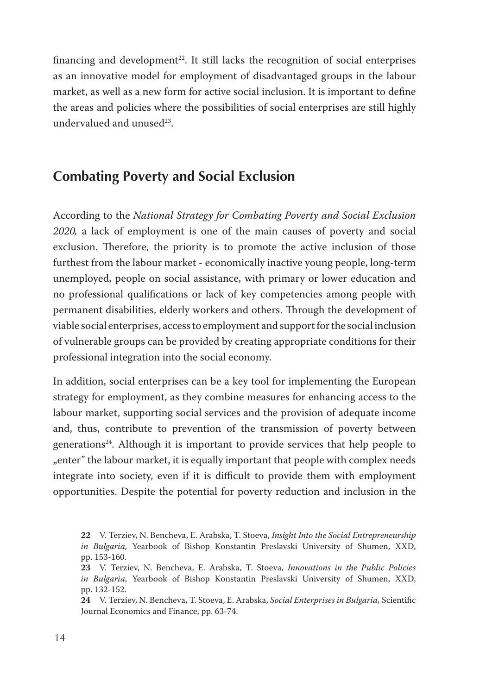financing and development<sup>22</sup>. It still lacks the recognition of social enterprises as an innovative model for employment of disadvantaged groups in the labour market, as well as a new form for active social inclusion. It is important to define the areas and policies where the possibilities of social enterprises are still highly undervalued and unused $^{23}$ .

## **Combating Poverty and Social Exclusion**

According to the *National Strategy for Combating Poverty and Social Exclusion 2020,* a lack of employment is one of the main causes of poverty and social exclusion. Therefore, the priority is to promote the active inclusion of those furthest from the labour market - economically inactive young people, long-term unemployed, people on social assistance, with primary or lower education and no professional qualifications or lack of key competencies among people with permanent disabilities, elderly workers and others. Through the development of viable social enterprises, access to employment and support for the social inclusion of vulnerable groups can be provided by creating appropriate conditions for their professional integration into the social economy.

In addition, social enterprises can be a key tool for implementing the European strategy for employment, as they combine measures for enhancing access to the labour market, supporting social services and the provision of adequate income and, thus, contribute to prevention of the transmission of poverty between generations24 . Although it is important to provide services that help people to "enter" the labour market, it is equally important that people with complex needs integrate into society, even if it is difficult to provide them with employment opportunities. Despite the potential for poverty reduction and inclusion in the

**24** V. Terziev, N. Bencheva, T. Stoeva, E. Arabska, *Social Enterprises in Bulgaria,* Scientific Journal Economics and Finance, pp. 63-74.

**<sup>22</sup>** V. Terziev, N. Bencheva, E. Arabska, T. Stoeva, *Insight Into the Social Entrepreneurship in Bulgaria,* Yearbook of Bishop Konstantin Preslavski University of Shumen, XXD, pp. 153-160.

**<sup>23</sup>** V. Terziev, N. Bencheva, E. Arabska, T. Stoeva, *Innovations in the Public Policies in Bulgaria,* Yearbook of Bishop Konstantin Preslavski University of Shumen, XXD, pp. 132-152.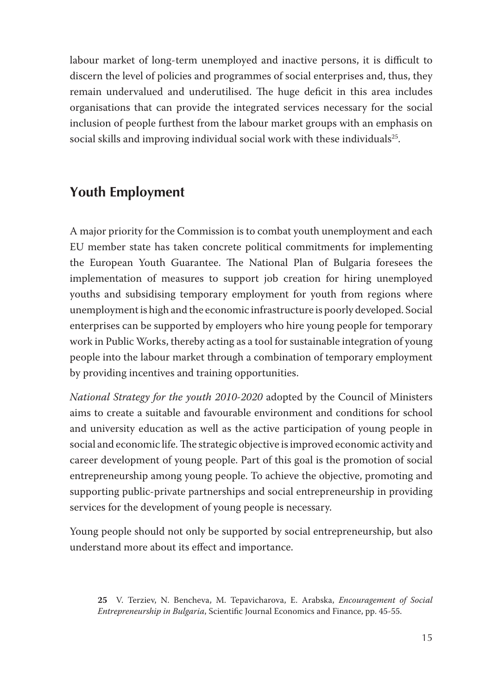labour market of long-term unemployed and inactive persons, it is difficult to discern the level of policies and programmes of social enterprises and, thus, they remain undervalued and underutilised. The huge deficit in this area includes organisations that can provide the integrated services necessary for the social inclusion of people furthest from the labour market groups with an emphasis on social skills and improving individual social work with these individuals<sup>25</sup>.

## **Youth Employment**

A major priority for the Commission is to combat youth unemployment and each EU member state has taken concrete political commitments for implementing the European Youth Guarantee. The National Plan of Bulgaria foresees the implementation of measures to support job creation for hiring unemployed youths and subsidising temporary employment for youth from regions where unemployment is high and the economic infrastructure is poorly developed. Social enterprises can be supported by employers who hire young people for temporary work in Public Works, thereby acting as a tool for sustainable integration of young people into the labour market through a combination of temporary employment by providing incentives and training opportunities.

*National Strategy for the youth 2010-2020* adopted by the Council of Ministers aims to create a suitable and favourable environment and conditions for school and university education as well as the active participation of young people in social and economic life. The strategic objective is improved economic activity and career development of young people. Part of this goal is the promotion of social entrepreneurship among young people. To achieve the objective, promoting and supporting public-private partnerships and social entrepreneurship in providing services for the development of young people is necessary.

Young people should not only be supported by social entrepreneurship, but also understand more about its effect and importance.

**<sup>25</sup>** V. Terziev, N. Bencheva, M. Tepavicharova, E. Arabska, *Encouragement of Social Entrepreneurship in Bulgaria*, Scientific Journal Economics and Finance, pp. 45-55.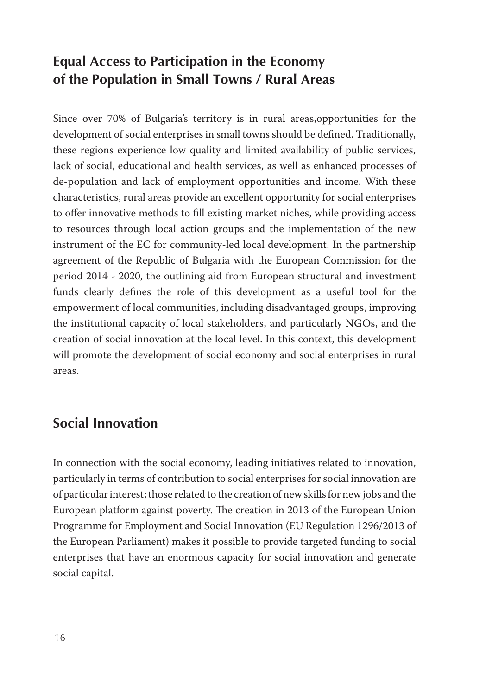## **Equal Access to Participation in the Economy of the Population in Small Towns / Rural Areas**

Since over 70% of Bulgaria's territory is in rural areas,opportunities for the development of social enterprises in small towns should be defined. Traditionally, these regions experience low quality and limited availability of public services, lack of social, educational and health services, as well as enhanced processes of de-population and lack of employment opportunities and income. With these characteristics, rural areas provide an excellent opportunity for social enterprises to offer innovative methods to fill existing market niches, while providing access to resources through local action groups and the implementation of the new instrument of the EC for community-led local development. In the partnership agreement of the Republic of Bulgaria with the European Commission for the period 2014 - 2020, the outlining aid from European structural and investment funds clearly defines the role of this development as a useful tool for the empowerment of local communities, including disadvantaged groups, improving the institutional capacity of local stakeholders, and particularly NGOs, and the creation of social innovation at the local level. In this context, this development will promote the development of social economy and social enterprises in rural areas.

## **Social Innovation**

In connection with the social economy, leading initiatives related to innovation, particularly in terms of contribution to social enterprises for social innovation are of particular interest; those related to the creation of new skills for new jobs and the European platform against poverty. The creation in 2013 of the European Union Programme for Employment and Social Innovation (EU Regulation 1296/2013 of the European Parliament) makes it possible to provide targeted funding to social enterprises that have an enormous capacity for social innovation and generate social capital.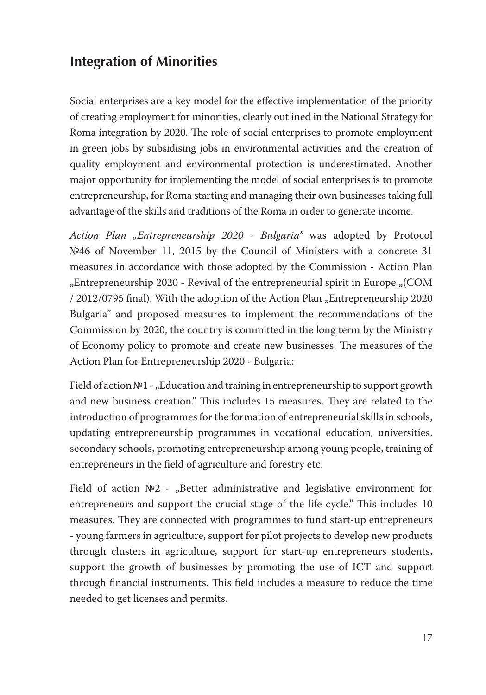## **Integration of Minorities**

Social enterprises are a key model for the effective implementation of the priority of creating employment for minorities, clearly outlined in the National Strategy for Roma integration by 2020. The role of social enterprises to promote employment in green jobs by subsidising jobs in environmental activities and the creation of quality employment and environmental protection is underestimated. Another major opportunity for implementing the model of social enterprises is to promote entrepreneurship, for Roma starting and managing their own businesses taking full advantage of the skills and traditions of the Roma in order to generate income.

*Action Plan "Entrepreneurship 2020 - Bulgaria"* was adopted by Protocol №46 of November 11, 2015 by the Council of Ministers with a concrete 31 measures in accordance with those adopted by the Commission - Action Plan "Entrepreneurship 2020 - Revival of the entrepreneurial spirit in Europe "(COM / 2012/0795 final). With the adoption of the Action Plan "Entrepreneurship 2020 Bulgaria" and proposed measures to implement the recommendations of the Commission by 2020, the country is committed in the long term by the Ministry of Economy policy to promote and create new businesses. The measures of the Action Plan for Entrepreneurship 2020 - Bulgaria:

Field of action №1 - "Education and training in entrepreneurship to support growth and new business creation." This includes 15 measures. They are related to the introduction of programmes for the formation of entrepreneurial skills in schools, updating entrepreneurship programmes in vocational education, universities, secondary schools, promoting entrepreneurship among young people, training of entrepreneurs in the field of agriculture and forestry etc.

Field of action  $N<sup>2</sup>$  - "Better administrative and legislative environment for entrepreneurs and support the crucial stage of the life cycle." This includes 10 measures. They are connected with programmes to fund start-up entrepreneurs - young farmers in agriculture, support for pilot projects to develop new products through clusters in agriculture, support for start-up entrepreneurs students, support the growth of businesses by promoting the use of ICT and support through financial instruments. This field includes a measure to reduce the time needed to get licenses and permits.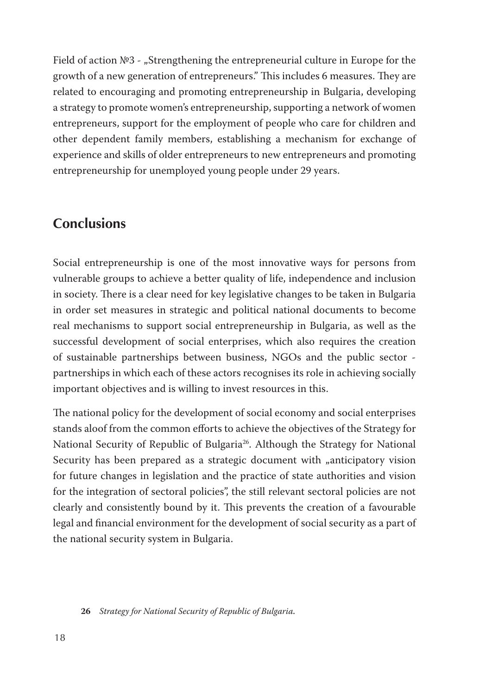Field of action №3 - "Strengthening the entrepreneurial culture in Europe for the growth of a new generation of entrepreneurs." This includes 6 measures. They are related to encouraging and promoting entrepreneurship in Bulgaria, developing a strategy to promote women's entrepreneurship, supporting a network of women entrepreneurs, support for the employment of people who care for children and other dependent family members, establishing a mechanism for exchange of experience and skills of older entrepreneurs to new entrepreneurs and promoting entrepreneurship for unemployed young people under 29 years.

### **Conclusions**

Social entrepreneurship is one of the most innovative ways for persons from vulnerable groups to achieve a better quality of life, independence and inclusion in society. There is a clear need for key legislative changes to be taken in Bulgaria in order set measures in strategic and political national documents to become real mechanisms to support social entrepreneurship in Bulgaria, as well as the successful development of social enterprises, which also requires the creation of sustainable partnerships between business, NGOs and the public sector partnerships in which each of these actors recognises its role in achieving socially important objectives and is willing to invest resources in this.

The national policy for the development of social economy and social enterprises stands aloof from the common efforts to achieve the objectives of the Strategy for National Security of Republic of Bulgaria<sup>26</sup>. Although the Strategy for National Security has been prepared as a strategic document with "anticipatory vision for future changes in legislation and the practice of state authorities and vision for the integration of sectoral policies", the still relevant sectoral policies are not clearly and consistently bound by it. This prevents the creation of a favourable legal and financial environment for the development of social security as a part of the national security system in Bulgaria.

**26** *Strategy for National Security of Republic of Bulgaria.*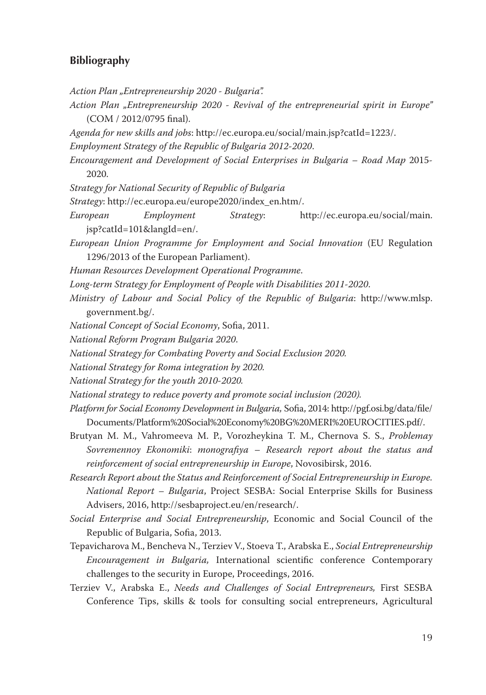### **Bibliography**

- *Action Plan "Entrepreneurship 2020 Bulgaria".*
- *Action Plan "Entrepreneurship 2020 Revival of the entrepreneurial spirit in Europe"*  (COM / 2012/0795 final).
- *Agenda for new skills and jobs*: http://ec.europa.eu/social/main.jsp?catId=1223/.
- *Employment Strategy of the Republic of Bulgaria 2012-2020*.
- *Encouragement and Development of Social Enterprises in Bulgaria Road Map* 2015- 2020.
- *Strategy for National Security of Republic of Bulgaria*
- *Strategy*: http://ec.europa.eu/europe2020/index\_en.htm/.
- *European Employment Strategy*: http://ec.europa.eu/social/main. jsp?catId=101&langId=en/.
- *European Union Programme for Employment and Social Innovation* (EU Regulation 1296/2013 of the European Parliament).
- *Human Resources Development Operational Programme*.
- *Long-term Strategy for Employment of People with Disabilities 2011-2020*.
- *Ministry of Labour and Social Policy of the Republic of Bulgaria*: http://www.mlsp. government.bg/.
- *National Concept of Social Economy*, Sofia, 2011.
- *National Reform Program Bulgaria 2020*.
- *National Strategy for Combating Poverty and Social Exclusion 2020.*
- *National Strategy for Roma integration by 2020.*
- *National Strategy for the youth 2010-2020.*
- *National strategy to reduce poverty and promote social inclusion (2020).*
- *Platform for Social Economy Development in Bulgaria,* Sofia, 2014: http://pgf.osi.bg/data/file/ Documents/Platform%20Social%20Economy%20BG%20MERI%20EUROCITIES.pdf/.
- Brutyan M. M., Vahromeeva M. P., Vorozheykina T. M., Chernova S. S., *Problemay Sovremennoy Ekonomiki*: *monografiya* – *Research report about the status and reinforcement of social entrepreneurship in Europe*, Novosibirsk, 2016.
- *Research Report about the Status and Reinforcement of Social Entrepreneurship in Europe. National Report – Bulgaria*, Project SESBA: Social Enterprise Skills for Business Advisers, 2016, http://sesbaproject.eu/en/research/.
- *Social Enterprise and Social Entrepreneurship*, Economic and Social Council of the Republic of Bulgaria, Sofia, 2013.
- Tepavicharova M., Bencheva N., Terziev V., Stoeva T., Arabska E., *Social Entrepreneurship Encouragement in Bulgaria,* International scientific conference Contemporary challenges to the security in Europe, Proceedings, 2016.
- Terziev V., Arabska E., *Needs and Challenges of Social Entrepreneurs,* First SESBA Conference Tips, skills & tools for consulting social entrepreneurs, Agricultural